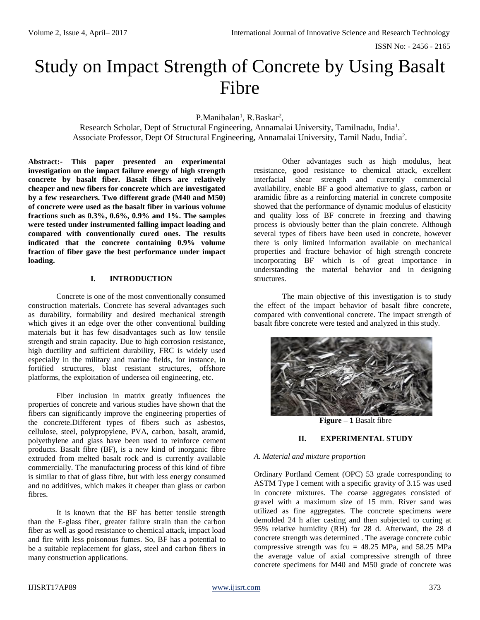ISSN No: - 2456 - 2165

# Study on Impact Strength of Concrete by Using Basalt Fibre

P.Manibalan<sup>1</sup>, R.Baskar<sup>2</sup>,

Research Scholar, Dept of Structural Engineering, Annamalai University, Tamilnadu, India<sup>1</sup>. Associate Professor, Dept Of Structural Engineering, Annamalai University, Tamil Nadu, India<sup>2</sup>.

**Abstract:- This paper presented an experimental investigation on the impact failure energy of high strength concrete by basalt fiber. Basalt fibers are relatively cheaper and new fibers for concrete which are investigated by a few researchers. Two different grade (M40 and M50) of concrete were used as the basalt fiber in various volume fractions such as 0.3%, 0.6%, 0.9% and 1%. The samples were tested under instrumented falling impact loading and compared with conventionally cured ones. The results indicated that the concrete containing 0.9% volume fraction of fiber gave the best performance under impact loading.**

## **I. INTRODUCTION**

Concrete is one of the most conventionally consumed construction materials. Concrete has several advantages such as durability, formability and desired mechanical strength which gives it an edge over the other conventional building materials but it has few disadvantages such as low tensile strength and strain capacity. Due to high corrosion resistance, high ductility and sufficient durability, FRC is widely used especially in the military and marine fields, for instance, in fortified structures, blast resistant structures, offshore platforms, the exploitation of undersea oil engineering, etc.

Fiber inclusion in matrix greatly influences the properties of concrete and various studies have shown that the fibers can significantly improve the engineering properties of the concrete.Different types of fibers such as asbestos, cellulose, steel, polypropylene, PVA, carbon, basalt, aramid, polyethylene and glass have been used to reinforce cement products. Basalt fibre (BF), is a new kind of inorganic fibre extruded from melted basalt rock and is currently available commercially. The manufacturing process of this kind of fibre is similar to that of glass fibre, but with less energy consumed and no additives, which makes it cheaper than glass or carbon fibres.

It is known that the BF has better tensile strength than the E-glass fiber, greater failure strain than the carbon fiber as well as good resistance to chemical attack, impact load and fire with less poisonous fumes. So, BF has a potential to be a suitable replacement for glass, steel and carbon fibers in many construction applications.

Other advantages such as high modulus, heat resistance, good resistance to chemical attack, excellent interfacial shear strength and currently commercial availability, enable BF a good alternative to glass, carbon or aramidic fibre as a reinforcing material in concrete composite showed that the performance of dynamic modulus of elasticity and quality loss of BF concrete in freezing and thawing process is obviously better than the plain concrete. Although several types of fibers have been used in concrete, however there is only limited information available on mechanical properties and fracture behavior of high strength concrete incorporating BF which is of great importance in understanding the material behavior and in designing structures.

The main objective of this investigation is to study the effect of the impact behavior of basalt fibre concrete, compared with conventional concrete. The impact strength of basalt fibre concrete were tested and analyzed in this study.



 **Figure – 1** Basalt fibre

## **II. EXPERIMENTAL STUDY**

#### *A. Material and mixture proportion*

Ordinary Portland Cement (OPC) 53 grade corresponding to ASTM Type I cement with a specific gravity of 3.15 was used in concrete mixtures. The coarse aggregates consisted of gravel with a maximum size of 15 mm. River sand was utilized as fine aggregates. The concrete specimens were demolded 24 h after casting and then subjected to curing at 95% relative humidity (RH) for 28 d. Afterward, the 28 d concrete strength was determined . The average concrete cubic compressive strength was fcu =  $48.25$  MPa, and  $58.25$  MPa the average value of axial compressive strength of three concrete specimens for M40 and M50 grade of concrete was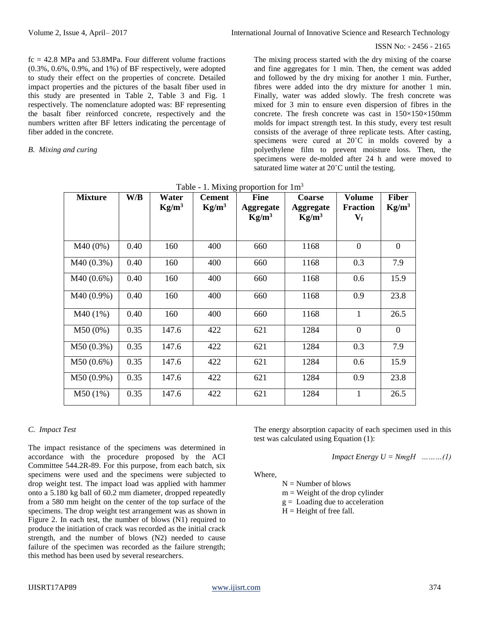#### ISSN No: - 2456 - 2165

 $fc = 42.8 \text{ MPa}$  and  $53.8 \text{ MPa}$ . Four different volume fractions (0.3%, 0.6%, 0.9%, and 1%) of BF respectively, were adopted to study their effect on the properties of concrete. Detailed impact properties and the pictures of the basalt fiber used in this study are presented in Table 2, Table 3 and Fig. 1 respectively. The nomenclature adopted was: BF representing the basalt fiber reinforced concrete, respectively and the numbers written after BF letters indicating the percentage of fiber added in the concrete.

#### *B. Mixing and curing*

The mixing process started with the dry mixing of the coarse and fine aggregates for 1 min. Then, the cement was added and followed by the dry mixing for another 1 min. Further, fibres were added into the dry mixture for another 1 min. Finally, water was added slowly. The fresh concrete was mixed for 3 min to ensure even dispersion of fibres in the concrete. The fresh concrete was cast in  $150\times150\times150$  mm molds for impact strength test. In this study, every test result consists of the average of three replicate tests. After casting, specimens were cured at 20˚C in molds covered by a polyethylene film to prevent moisture loss. Then, the specimens were de-molded after 24 h and were moved to saturated lime water at 20˚C until the testing.

| <b>Mixture</b> | W/B  | Water<br>$Kg/m^3$ | <b>Cement</b><br>$Kg/m^3$ | <b>Fine</b><br><b>Aggregate</b><br>$Kg/m^3$ | Coarse<br><b>Aggregate</b><br>$Kg/m^3$ | <b>Volume</b><br><b>Fraction</b><br>$\mathbf{V_{f}}$ | <b>Fiber</b><br>$Kg/m^3$ |
|----------------|------|-------------------|---------------------------|---------------------------------------------|----------------------------------------|------------------------------------------------------|--------------------------|
| M40 (0%)       | 0.40 | 160               | 400                       | 660                                         | 1168                                   | $\overline{0}$                                       | $\overline{0}$           |
| M40 (0.3%)     | 0.40 | 160               | 400                       | 660                                         | 1168                                   | 0.3                                                  | 7.9                      |
| $M40(0.6\%)$   | 0.40 | 160               | 400                       | 660                                         | 1168                                   | 0.6                                                  | 15.9                     |
| M40 (0.9%)     | 0.40 | 160               | 400                       | 660                                         | 1168                                   | 0.9                                                  | 23.8                     |
| M40(1%)        | 0.40 | 160               | 400                       | 660                                         | 1168                                   | 1                                                    | 26.5                     |
| $M50(0\%)$     | 0.35 | 147.6             | 422                       | 621                                         | 1284                                   | $\overline{0}$                                       | $\overline{0}$           |
| $M50(0.3\%)$   | 0.35 | 147.6             | 422                       | 621                                         | 1284                                   | 0.3                                                  | 7.9                      |
| $M50(0.6\%)$   | 0.35 | 147.6             | 422                       | 621                                         | 1284                                   | 0.6                                                  | 15.9                     |
| M50 (0.9%)     | 0.35 | 147.6             | 422                       | 621                                         | 1284                                   | 0.9                                                  | 23.8                     |
| M50(1%)        | 0.35 | 147.6             | 422                       | 621                                         | 1284                                   | 1                                                    | 26.5                     |

## *C. Impact Test*

The impact resistance of the specimens was determined in accordance with the procedure proposed by the ACI Committee 544.2R-89. For this purpose, from each batch, six specimens were used and the specimens were subjected to drop weight test. The impact load was applied with hammer onto a 5.180 kg ball of 60.2 mm diameter, dropped repeatedly from a 580 mm height on the center of the top surface of the specimens. The drop weight test arrangement was as shown in Figure 2. In each test, the number of blows (N1) required to produce the initiation of crack was recorded as the initial crack strength, and the number of blows (N2) needed to cause failure of the specimen was recorded as the failure strength; this method has been used by several researchers.

The energy absorption capacity of each specimen used in this test was calculated using Equation (1):

*Impact Energy*  $U = NmgH$  *………(1)* 

Where,

 $N =$  Number of blows

 $m = Weight of the drop cylinder$ 

 $g =$  Loading due to acceleration

 $H =$ Height of free fall.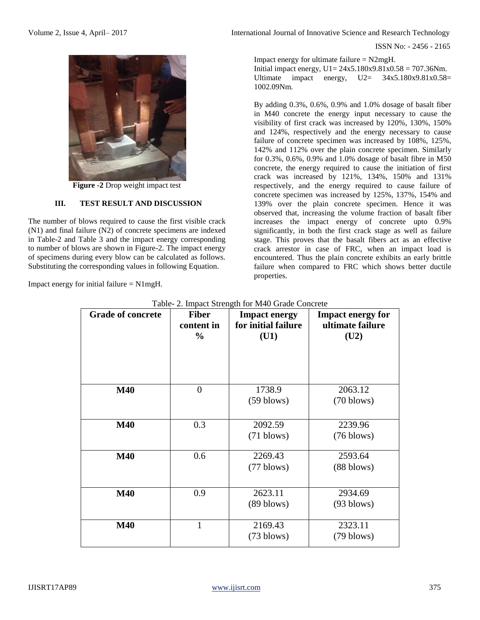

**Figure -2** Drop weight impact test

# **III. TEST RESULT AND DISCUSSION**

The number of blows required to cause the first visible crack (N1) and final failure (N2) of concrete specimens are indexed in Table-2 and Table 3 and the impact energy corresponding to number of blows are shown in Figure-2. The impact energy of specimens during every blow can be calculated as follows. Substituting the corresponding values in following Equation.

Impact energy for initial failure = N1mgH.

Volume 2, Issue 4, April– 2017 **International Journal of Innovative Science and Research Technology** 

ISSN No: - 2456 - 2165

Impact energy for ultimate failure = N2mgH. Initial impact energy,  $U1 = 24x5.180x9.81x0.58 = 707.36Nm$ . Ultimate impact energy,  $U2 = 34x5.180x9.81x0.58=$ 1002.09Nm.

By adding 0.3%, 0.6%, 0.9% and 1.0% dosage of basalt fiber in M40 concrete the energy input necessary to cause the visibility of first crack was increased by 120%, 130%, 150% and 124%, respectively and the energy necessary to cause failure of concrete specimen was increased by 108%, 125%, 142% and 112% over the plain concrete specimen. Similarly for 0.3%, 0.6%, 0.9% and 1.0% dosage of basalt fibre in M50 concrete, the energy required to cause the initiation of first crack was increased by 121%, 134%, 150% and 131% respectively, and the energy required to cause failure of concrete specimen was increased by 125%, 137%, 154% and 139% over the plain concrete specimen. Hence it was observed that, increasing the volume fraction of basalt fiber increases the impact energy of concrete upto 0.9% significantly, in both the first crack stage as well as failure stage. This proves that the basalt fibers act as an effective crack arrestor in case of FRC, when an impact load is encountered. Thus the plain concrete exhibits an early brittle failure when compared to FRC which shows better ductile properties.

| <b>Grade of concrete</b> | <b>Fiber</b><br>content in<br>$\frac{0}{0}$ | <b>Impact energy</b><br>for initial failure<br>(U1) | <b>Impact energy for</b><br>ultimate failure<br>(U2) |
|--------------------------|---------------------------------------------|-----------------------------------------------------|------------------------------------------------------|
| <b>M40</b>               | $\theta$                                    | 1738.9<br>$(59 \text{ blows})$                      | 2063.12<br>$(70 \text{ blows})$                      |
| <b>M40</b>               | 0.3                                         | 2092.59<br>$(71 \text{ blows})$                     | 2239.96<br>$(76 \text{ blows})$                      |
| <b>M40</b>               | 0.6                                         | 2269.43<br>$(77 \text{ blows})$                     | 2593.64<br>$(88 \text{ blows})$                      |
| <b>M40</b>               | 0.9                                         | 2623.11<br>$(89 \text{ blows})$                     | 2934.69<br>$(93 \text{ blows})$                      |
| <b>M40</b>               | 1                                           | 2169.43<br>$(73 \text{ blows})$                     | 2323.11<br>$(79 \text{ blows})$                      |

Table- 2. Impact Strength for M40 Grade Concrete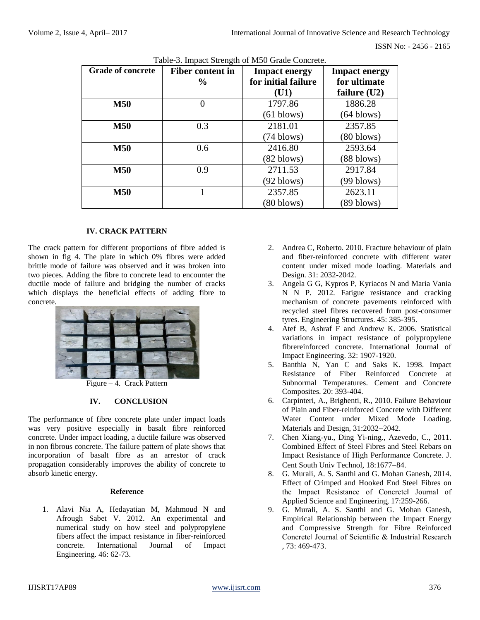| <b>Grade of concrete</b> | <b>Fiber content in</b> | <b>Impact energy</b> | <b>Impact energy</b> |  |
|--------------------------|-------------------------|----------------------|----------------------|--|
|                          | $\frac{6}{9}$           | for initial failure  | for ultimate         |  |
|                          |                         | (U1)                 | failure $(U2)$       |  |
| <b>M50</b>               | 0                       | 1797.86              | 1886.28              |  |
|                          |                         | $(61$ blows)         | $(64 \text{ blows})$ |  |
| <b>M50</b>               | 0.3                     | 2181.01              | 2357.85              |  |
|                          |                         | $(74 \text{ blows})$ | $(80$ blows)         |  |
| <b>M50</b>               | 0.6                     | 2416.80              | 2593.64              |  |
|                          |                         | $(82 \text{ blows})$ | $(88 \text{ blows})$ |  |
| <b>M50</b>               | 0.9                     | 2711.53              | 2917.84              |  |
|                          |                         | $(92 \text{ blows})$ | (99 blows)           |  |
| <b>M50</b>               |                         | 2357.85              | 2623.11              |  |
|                          |                         | $(80 \text{ blows})$ | (89 blows)           |  |

Table-3. Impact Strength of M50 Grade Concrete.

## **IV. CRACK PATTERN**

The crack pattern for different proportions of fibre added is shown in fig 4. The plate in which 0% fibres were added brittle mode of failure was observed and it was broken into two pieces. Adding the fibre to concrete lead to encounter the ductile mode of failure and bridging the number of cracks which displays the beneficial effects of adding fibre to concrete.



Figure – 4. Crack Pattern

## **IV. CONCLUSION**

The performance of fibre concrete plate under impact loads was very positive especially in basalt fibre reinforced concrete. Under impact loading, a ductile failure was observed in non fibrous concrete. The failure pattern of plate shows that incorporation of basalt fibre as an arrestor of crack propagation considerably improves the ability of concrete to absorb kinetic energy.

#### **Reference**

1. Alavi Nia A, Hedayatian M, Mahmoud N and Afrough Sabet V. 2012. An experimental and numerical study on how steel and polypropylene fibers affect the impact resistance in fiber-reinforced concrete. International Journal of Impact Engineering. 46: 62-73.

- 2. Andrea C, Roberto. 2010. Fracture behaviour of plain and fiber-reinforced concrete with different water content under mixed mode loading. Materials and Design. 31: 2032-2042.
- 3. Angela G G, Kypros P, Kyriacos N and Maria Vania N N P. 2012. Fatigue resistance and cracking mechanism of concrete pavements reinforced with recycled steel fibres recovered from post-consumer tyres. Engineering Structures. 45: 385-395.
- 4. Atef B, Ashraf F and Andrew K. 2006. Statistical variations in impact resistance of polypropylene fibrereinforced concrete. International Journal of Impact Engineering. 32: 1907-1920.
- 5. Banthia N, Yan C and Saks K. 1998. Impact Resistance of Fiber Reinforced Concrete at Subnormal Temperatures. Cement and Concrete Composites. 20: 393-404.
- 6. Carpinteri, A., Brighenti, R., 2010. Failure Behaviour of Plain and Fiber-reinforced Concrete with Different Water Content under Mixed Mode Loading. Materials and Design, 31:2032-2042.
- 7. Chen Xiang-yu., Ding Yi-ning., Azevedo, C., 2011. Combined Effect of Steel Fibres and Steel Rebars on Impact Resistance of High Performance Concrete. J. Cent South Univ Technol, 18:1677-84.
- 8. G. Murali, A. S. Santhi and G. Mohan Ganesh, 2014. Effect of Crimped and Hooked End Steel Fibres on the Impact Resistance of Concrete‖ Journal of Applied Science and Engineering, 17:259-266.
- 9. G. Murali, A. S. Santhi and G. Mohan Ganesh, Empirical Relationship between the Impact Energy and Compressive Strength for Fibre Reinforced Concrete‖ Journal of Scientific & Industrial Research , 73: 469-473.